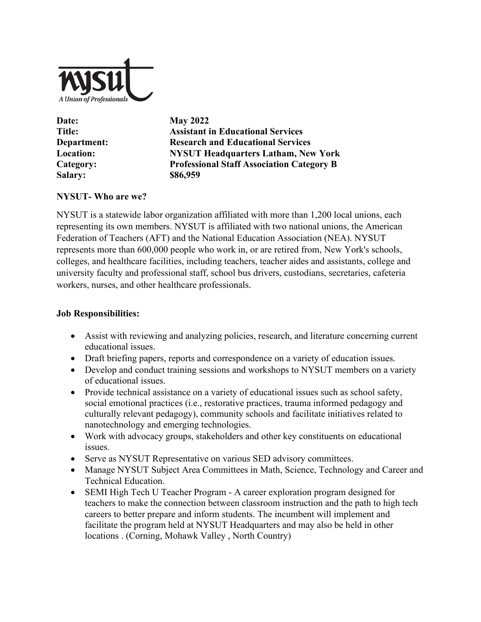

| Date:            |
|------------------|
| <b>Title:</b>    |
| Department:      |
| <b>Location:</b> |
| Category:        |
| <b>Salary:</b>   |
|                  |

**May 2022 Assistant in Educational Services Department: Research and Educational Services Location: NYSUT Headquarters Latham, New York Category: Professional Staff Association Category B Salary: \$86,959**

## **NYSUT- Who are we?**

NYSUT is a statewide labor organization affiliated with more than 1,200 local unions, each representing its own members. NYSUT is affiliated with two national unions, the American Federation of Teachers (AFT) and the National Education Association (NEA). NYSUT represents more than 600,000 people who work in, or are retired from, New York's schools, colleges, and healthcare facilities, including teachers, teacher aides and assistants, college and university faculty and professional staff, school bus drivers, custodians, secretaries, cafeteria workers, nurses, and other healthcare professionals.

## **Job Responsibilities:**

- Assist with reviewing and analyzing policies, research, and literature concerning current educational issues.
- Draft briefing papers, reports and correspondence on a variety of education issues.
- Develop and conduct training sessions and workshops to NYSUT members on a variety of educational issues.
- Provide technical assistance on a variety of educational issues such as school safety, social emotional practices (i.e., restorative practices, trauma informed pedagogy and culturally relevant pedagogy), community schools and facilitate initiatives related to nanotechnology and emerging technologies.
- Work with advocacy groups, stakeholders and other key constituents on educational issues.
- Serve as NYSUT Representative on various SED advisory committees.
- Manage NYSUT Subject Area Committees in Math, Science, Technology and Career and Technical Education.
- SEMI High Tech U Teacher Program A career exploration program designed for teachers to make the connection between classroom instruction and the path to high tech careers to better prepare and inform students. The incumbent will implement and facilitate the program held at NYSUT Headquarters and may also be held in other locations . (Corning, Mohawk Valley , North Country)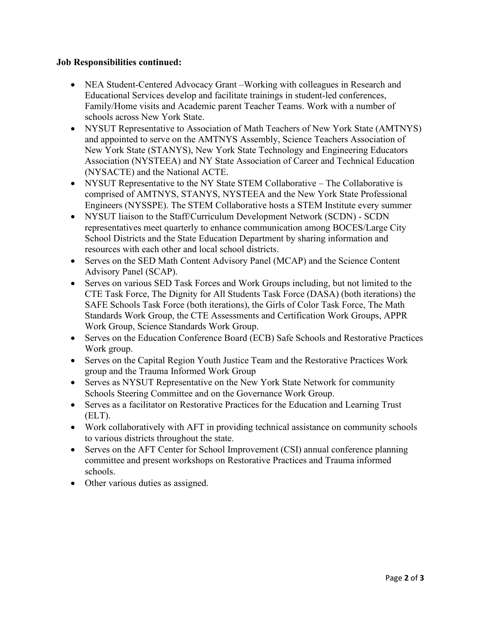#### **Job Responsibilities continued:**

- NEA Student-Centered Advocacy Grant –Working with colleagues in Research and Educational Services develop and facilitate trainings in student-led conferences, Family/Home visits and Academic parent Teacher Teams. Work with a number of schools across New York State.
- NYSUT Representative to Association of Math Teachers of New York State (AMTNYS) and appointed to serve on the AMTNYS Assembly, Science Teachers Association of New York State (STANYS), New York State Technology and Engineering Educators Association (NYSTEEA) and NY State Association of Career and Technical Education (NYSACTE) and the National ACTE.
- NYSUT Representative to the NY State STEM Collaborative The Collaborative is comprised of AMTNYS, STANYS, NYSTEEA and the New York State Professional Engineers (NYSSPE). The STEM Collaborative hosts a STEM Institute every summer
- NYSUT liaison to the Staff/Curriculum Development Network (SCDN) SCDN representatives meet quarterly to enhance communication among BOCES/Large City School Districts and the State Education Department by sharing information and resources with each other and local school districts.
- Serves on the SED Math Content Advisory Panel (MCAP) and the Science Content Advisory Panel (SCAP).
- Serves on various SED Task Forces and Work Groups including, but not limited to the CTE Task Force, The Dignity for All Students Task Force (DASA) (both iterations) the SAFE Schools Task Force (both iterations), the Girls of Color Task Force, The Math Standards Work Group, the CTE Assessments and Certification Work Groups, APPR Work Group, Science Standards Work Group.
- Serves on the Education Conference Board (ECB) Safe Schools and Restorative Practices Work group.
- Serves on the Capital Region Youth Justice Team and the Restorative Practices Work group and the Trauma Informed Work Group
- Serves as NYSUT Representative on the New York State Network for community Schools Steering Committee and on the Governance Work Group.
- Serves as a facilitator on Restorative Practices for the Education and Learning Trust (ELT).
- Work collaboratively with AFT in providing technical assistance on community schools to various districts throughout the state.
- Serves on the AFT Center for School Improvement (CSI) annual conference planning committee and present workshops on Restorative Practices and Trauma informed schools.
- Other various duties as assigned.